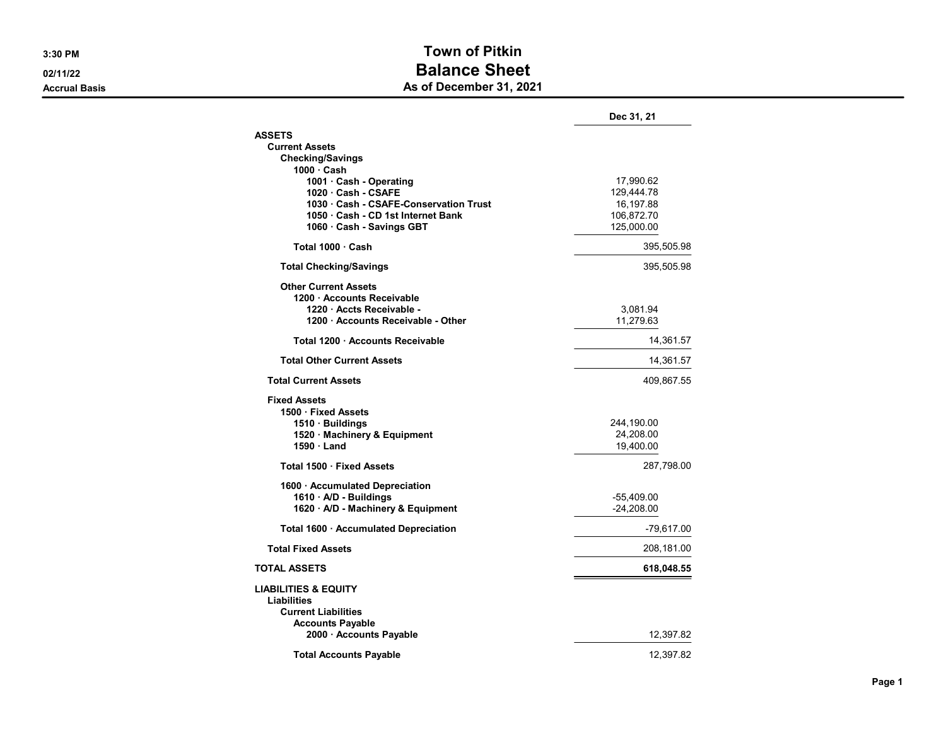## 3:30 PM Town of Pitkin 02/11/22 **Balance Sheet** Accrual Basis **Accrual Basis** Accrual Basis **As of December 31, 2021**

|                                        | Dec 31, 21   |
|----------------------------------------|--------------|
| <b>ASSETS</b>                          |              |
| <b>Current Assets</b>                  |              |
| <b>Checking/Savings</b>                |              |
| $1000 \cdot$ Cash                      |              |
| 1001 · Cash - Operating                | 17,990.62    |
| 1020 Cash - CSAFE                      | 129,444.78   |
| 1030 · Cash - CSAFE-Conservation Trust | 16,197.88    |
| 1050 · Cash - CD 1st Internet Bank     | 106,872.70   |
| 1060 · Cash - Savings GBT              | 125,000.00   |
| Total 1000 Cash                        | 395,505.98   |
| <b>Total Checking/Savings</b>          | 395,505.98   |
| <b>Other Current Assets</b>            |              |
| 1200 Accounts Receivable               |              |
| 1220 · Accts Receivable -              | 3,081.94     |
| 1200 Accounts Receivable - Other       | 11,279.63    |
| Total 1200 Accounts Receivable         | 14,361.57    |
| <b>Total Other Current Assets</b>      | 14,361.57    |
| <b>Total Current Assets</b>            | 409,867.55   |
| <b>Fixed Assets</b>                    |              |
| 1500 · Fixed Assets                    |              |
| 1510 · Buildings                       | 244,190.00   |
| 1520 · Machinery & Equipment           | 24,208.00    |
| $1590 \cdot$ Land                      | 19,400.00    |
|                                        |              |
| Total 1500 · Fixed Assets              | 287,798.00   |
| 1600 · Accumulated Depreciation        |              |
| 1610 · A/D - Buildings                 | -55,409.00   |
| 1620 A/D - Machinery & Equipment       | $-24.208.00$ |
| Total 1600 · Accumulated Depreciation  | $-79,617.00$ |
| <b>Total Fixed Assets</b>              | 208,181.00   |
| <b>TOTAL ASSETS</b>                    | 618,048.55   |
| <b>LIABILITIES &amp; EQUITY</b>        |              |
| <b>Liabilities</b>                     |              |
| <b>Current Liabilities</b>             |              |
| <b>Accounts Payable</b>                |              |
| 2000 · Accounts Payable                | 12,397.82    |
|                                        |              |
| <b>Total Accounts Pavable</b>          | 12,397.82    |